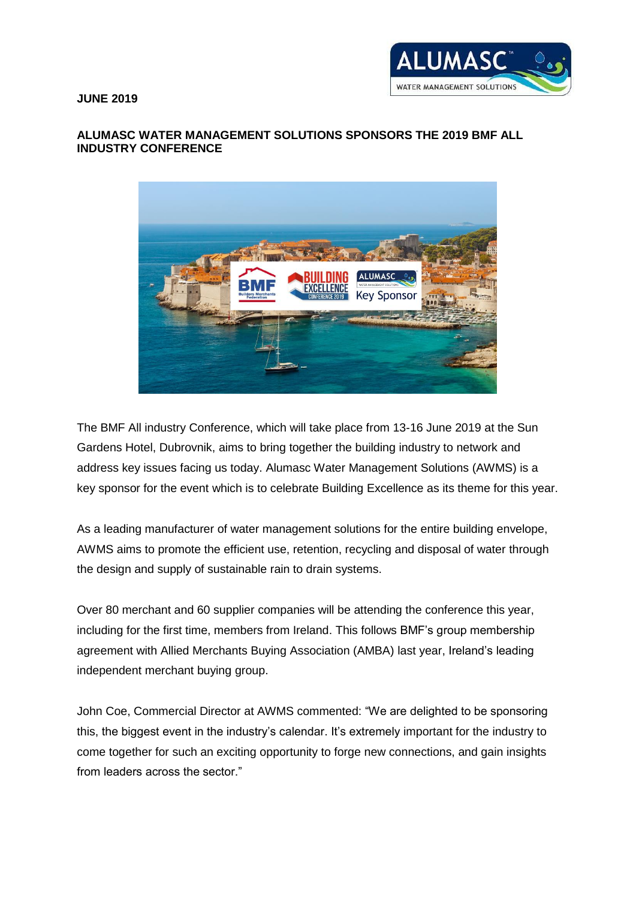**JUNE 2019**



## **ALUMASC WATER MANAGEMENT SOLUTIONS SPONSORS THE 2019 BMF ALL INDUSTRY CONFERENCE**



The BMF All industry Conference, which will take place from 13-16 June 2019 at the Sun Gardens Hotel, Dubrovnik, aims to bring together the building industry to network and address key issues facing us today. Alumasc Water Management Solutions (AWMS) is a key sponsor for the event which is to celebrate Building Excellence as its theme for this year.

As a leading manufacturer of water management solutions for the entire building envelope, AWMS aims to promote the efficient use, retention, recycling and disposal of water through the design and supply of sustainable rain to drain systems.

Over 80 merchant and 60 supplier companies will be attending the conference this year, including for the first time, members from Ireland. This follows BMF's group membership agreement with [Allied Merchants Buying Association \(AMBA\)](http://www.bmf.org.uk/BMF/News/BMF_expands_into_the_Irish_market.aspx) last year, Ireland's leading independent merchant buying group.

John Coe, Commercial Director at AWMS commented: "We are delighted to be sponsoring this, the biggest event in the industry's calendar. It's extremely important for the industry to come together for such an exciting opportunity to forge new connections, and gain insights from leaders across the sector."